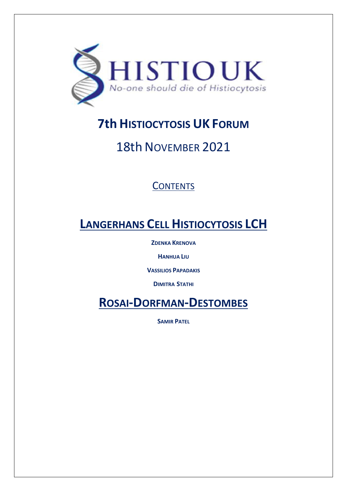

# **7th HISTIOCYTOSIS UK FORUM**

# 18th NOVEMBER 2021

# **CONTENTS**

# **LANGERHANS CELL HISTIOCYTOSIS LCH**

**ZDENKA KRENOVA**

**HANHUA LIU**

**VASSILIOS PAPADAKIS**

**DIMITRA STATHI**

**ROSAI-DORFMAN-DESTOMBES**

**SAMIR PATEL**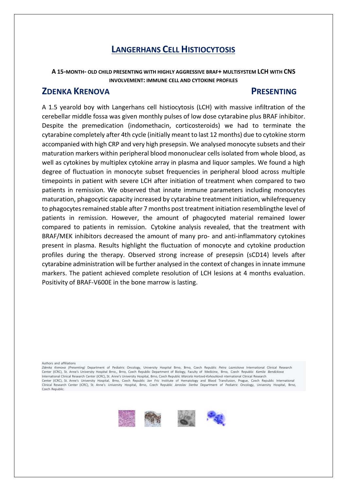**A 15-MONTH- OLD CHILD PRESENTING WITH HIGHLY AGGRESSIVE BRAF+ MULTISYSTEM LCH WITH CNS INVOLVEMENT: IMMUNE CELL AND CYTOKINE PROFILES**

## **ZDENKA KRENOVA PRESENTING**

A 1.5 yearold boy with Langerhans cell histiocytosis (LCH) with massive infiltration of the cerebellar middle fossa was given monthly pulses of low dose cytarabine plus BRAF inhibitor. Despite the premedication (indomethacin, corticosteroids) we had to terminate the cytarabine completely after 4th cycle (initially meant to last 12 months) due to cytokine storm accompanied with high CRP and very high presepsin. We analysed monocyte subsets and their maturation markers within peripheral blood mononuclear cells isolated from whole blood, as well as cytokines by multiplex cytokine array in plasma and liquor samples. We found a high degree of fluctuation in monocyte subset frequencies in peripheral blood across multiple timepoints in patient with severe LCH after initiation of treatment when compared to two patients in remission. We observed that innate immune parameters including monocytes maturation, phagocytic capacity increased by cytarabine treatment initiation, whilefrequency to phagocytes remained stable after 7 months post treatment initiation resemblingthe level of patients in remission. However, the amount of phagocyted material remained lower compared to patients in remission. Cytokine analysis revealed, that the treatment with BRAF/MEK inhibitors decreased the amount of many pro- and anti-inflammatory cytokines present in plasma. Results highlight the fluctuation of monocyte and cytokine production profiles during the therapy. Observed strong increase of presepsin (sCD14) levels after cytarabine administration will be further analysed in the context of changes in innate immune markers. The patient achieved complete resolution of LCH lesions at 4 months evaluation. Positivity of BRAF-V600E in the bone marrow is lasting.

Authors and affiliations

*Zdenka Krenova (Presenting)* Department of Pediatric Oncology, University Hospital Brno, Brno, Czech Republic *Petra Loznickova* International Clinical Research<br>Center (ICRC), St. Anne's University Hospital Brno, Brno, Cz International Clinical Research Center (ICRC), St. Anne's University Hospital, Brno, Czech Republic *Marcela Hortová-Kohoutková* nternational Clinical Research Center (ICRC), St. Anne's University Hospital, Brno, Czech Republic *Jan Fric* Institute of Hematology and Blood Transfusion, Prague, Czech Republic International Clinical Research Center (ICRC), St. Anne's University Hospital, Brno, Czech Republic *Jaroslav Sterba* Department of Pediatric Oncology, University Hospital, Brno, Czech Republic.



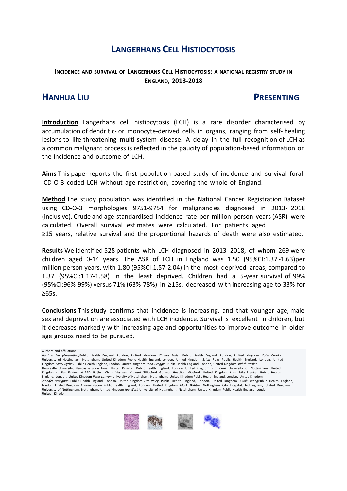### **INCIDENCE AND SURVIVAL OF LANGERHANS CELL HISTIOCYTOSIS: A NATIONAL REGISTRY STUDY IN ENGLAND, 2013-2018**

## **HANHUA LIU PRESENTING**

**Introduction** Langerhans cell histiocytosis (LCH) is a rare disorder characterised by accumulation of dendritic- or monocyte-derived cells in organs, ranging from self- healing lesions to life-threatening multi-system disease. A delay in the full recognition of LCH as a common malignant process is reflected in the paucity of population-based information on the incidence and outcome of LCH.

**Aims** This paper reports the first population-based study of incidence and survival forall ICD-O-3 coded LCH without age restriction, covering the whole of England.

**Method** The study population was identified in the National Cancer Registration Dataset using ICD-O-3 morphologies 9751-9754 for malignancies diagnosed in 2013- 2018 (inclusive). Crude and age-standardised incidence rate per million person years(ASR) were calculated. Overall survival estimates were calculated. For patients aged ≥15 years, relative survival and the proportional hazards of death were also estimated.

**Results** We identified 528 patients with LCH diagnosed in 2013 -2018, of whom 269 were children aged 0-14 years. The ASR of LCH in England was 1.50 (95%CI:1.37 -1.63)per million person years, with 1.80 (95%CI:1.57-2.04) in the most deprived areas, compared to 1.37 (95%CI:1.17-1.58) in the least deprived. Children had a 5-year survival of 99% (95%CI:96%-99%) versus 71% (63%-78%) in ≥15s, decreased with increasing age to 33% for ≥65s.

**Conclusions** This study confirms that incidence is increasing, and that younger age, male sex and deprivation are associated with LCH incidence. Survival is excellent in children, but it decreases markedly with increasing age and opportunities to improve outcome in older age groups need to be pursued.

Authors and affiliations

*Hanhua Liu (Presenting)*Public Health England, London, United Kingdom *Charles Stiller* Public Health England, London, United Kingdom *Colin Crooks* University of Nottingham, Nottingham, United Kingdom Public Health England, London, United Kingdom *Brian Rous* Public Health England, London, United Kingdom *Mary Bythell* Public Health England, London, United Kingdom *John Broggio* Public Health England, London, United Kingdom *Judith Rankin* Newcastle University, Newcastle upon Tyne, United Kingdom Public Health England, London, United Kingdom *Tim Card* University of Nottingham, United Kingdom *Lu Ban* Evidera at PPD, Beijing, China *Vasanta Nanduri* 7Watford General Hospital, Watford, United Kingdom *Lucy Elliss-Brookes* Public Health England, London, United Kingdom *Peter Lanyon* University of Nottingham, Nottingham, United Kingdom Public Health England, London, United Kingdom *Jennifer Broughan* Public Health England, London, United Kingdom *Lizz Paley* Public Health England, London, United Kingdom *Kwok Wong*Public Health England, London, United Kingdom *Andrew Bacon* Public Health England, London, United Kingdom *Mark Bishton* Nottingham City Hospital, Nottingham, United Kingdom University of Nottingham, Nottingham, United Kingdom *Joe West* University of Nottingham, Nottingham, United Kingdom Public Health England, London, United Kingdom

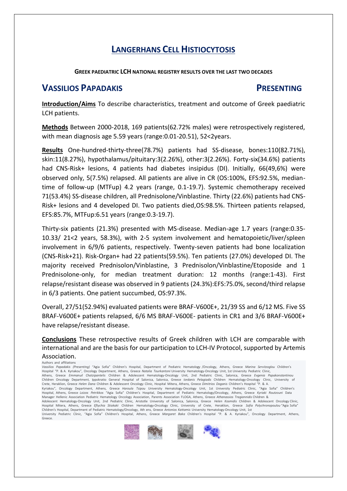#### **GREEK PAEDIATRIC LCH NATIONAL REGISTRY RESULTS OVER THE LAST TWO DECADES**

### **VASSILIOS PAPADAKIS PRESENTING**

**Introduction/Aims** To describe characteristics, treatment and outcome of Greek paediatric LCH patients.

**Methods** Between 2000-2018, 169 patients(62.72% males) were retrospectively registered, with mean diagnosis age 5.59 years (range:0.01-20.51), 52<2years.

**Results** One-hundred-thirty-three(78.7%) patients had SS-disease, bones:110(82.71%), skin:11(8.27%), hypothalamus/pituitary:3(2.26%), other:3(2.26%). Forty-six(34.6%) patients had CNS-Risk+ lesions, 4 patients had diabetes insipidus (DI). Initially, 66(49,6%) were observed only, 5(7.5%) relapsed. All patients are alive in CR (OS:100%, EFS:92.5%, mediantime of follow-up (MTFup) 4.2 years (range, 0.1-19.7). Systemic chemotherapy received 71(53.4%) SS-disease children, all Prednisolone/Vinblastine. Thirty (22.6%) patients had CNS-Risk+ lesions and 4 developed DI. Two patients died,OS:98.5%. Thirteen patients relapsed, EFS:85.7%, MTFup:6.51 years (range:0.3-19.7).

Thirty-six patients (21.3%) presented with MS-disease. Median-age 1.7 years (range:0.35- 10.33/ 21<2 years, 58.3%), with 2-5 system involvement and hematopoietic/liver/spleen involvement in 6/9/6 patients, respectively. Twenty-seven patients had bone localization (CNS-Risk+21). Risk-Organ+ had 22 patients(59.5%). Ten patients (27.0%) developed DI. The majority received Prednisolon/Vinblastine, 3 Prednisolon/Vinblastine/Etoposide and 1 Prednisolone-only, for median treatment duration: 12 months (range:1-43). First relapse/resistant disease was observed in 9 patients (24.3%):EFS:75.0%, second/third relapse in 6/3 patients. One patient succumbed, OS:97.3%.

Overall, 27/51(52.94%) evaluated patients were BRAF-V600E+, 21/39 SS and 6/12 MS. Five SS BRAF-V600E+ patients relapsed, 6/6 MS BRAF-V600E- patients in CR1 and 3/6 BRAF-V600E+ have relapse/resistant disease.

**Conclusions** These retrospective results of Greek children with LCH are comparable with international and are the basis for our participation to LCH-IV Protocol, supported by Artemis Association.

#### Authors and affiliations

*Vassilios Papadakis (Presenting)* "Agia Sofia" Children's Hospital, Department of Pediatric Hematology /Oncology, Athens, Greece *Marina Servitzoglou* Children's Hospital "P. & A. Kyriakou", Oncology Department, Athens, Greece *Natalia Tourkantoni* University-Oncology Unit, 1st University Pediatric Clinic,<br>Athens, Greece *Emmanuil Chatzipantelis* Children & Adolescent Hematology-On Children Oncology Department, Ippokratio General Hospital of Salonica, Salonica, Greece *Iordanis Pelagiadis* Children Hematology-Oncology Clinic, University of Crete, Heraklion, Greece *Helen Dana* Children & Adolescent Oncology Clinic, Hospital Mitera, Athens, Greece *Dimitrios Doganis* Children's Hospital "P. & A. Kyriakou", Oncology Department, Athens, Greece Haroula Tsipou University Hematology-Oncology Unit, 1st University Pediatric Clinic, "Agia Sofia" Children's<br>Hospital, Athens, Greece Loizos Petrikkos "Agia Sofia" Children's Hospital, Athens, Greece *Loizos Petrikkos "*Agia Sofia" Children's Hospital, Department of Manager Hellenic Association Pediatric Hematology Oncology Association, Parents Association FLOGA, Athens, Greece *Athanassios Tragiannidis* Children &<br>Adolescent Hematology-Oncology Unit, 2nd Pediatric Clinic, Aristotle U Hospital Mitera, Athens, Greece *Eftychia Stiakaki* Children Hematology-Oncology Clinic, University of Crete, Heraklion, Greece *Sofia Polychronopoulou* "Agia Sofia" Children's Hospital, Department of Pediatric Hematology/Oncology, Ath ens, Greece *Antonios Kattamis* University Hematology-Oncology Unit, 1st University Pediatric Clinic, "Agia Sofia" Children's Hospital, Athens, Greece *Margaret Baka* Children's Hospital "P. & A. Kyriakou", Oncology Department, Athens, Greece.

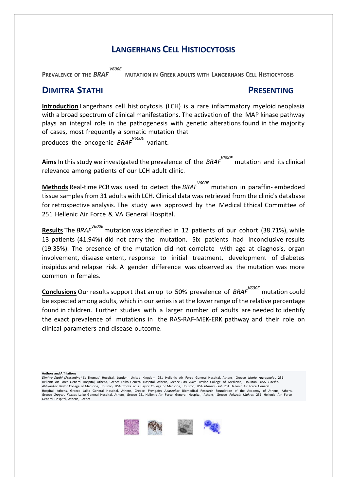*V600E*<br>**PREVALENCE OF THE BRAF** 

**REFALLENCE PLANCE <b>DELL PRAFTION IN GREEK ADULTS WITH LANGERHANS CELL HISTIOCYTOSIS** 

### **DIMITRA STATHI PRESENTING**

**Introduction** Langerhans cell histiocytosis (LCH) is a rare inflammatory myeloid neoplasia with a broad spectrum of clinical manifestations. The activation of the MAP kinase pathway plays an integral role in the pathogenesis with genetic alterations found in the majority of cases, most frequently a somatic mutation that produces the oncogenic *BRAF V600E*  variant.

**Aims** In this study we investigated the prevalence of the *BRAF V600E* mutation and its clinical relevance among patients of our LCH adult clinic.

**Methods** Real-time PCR was used to detect the *BRAF V600E* mutation in paraffin- embedded tissue samples from 31 adults with LCH. Clinical data was retrieved from the clinic's database for retrospective analysis. The study was approved by the Medical Ethical Committee of 251 Hellenic Air Force & VA General Hospital.

**Results** The *BRAF V600E* mutation was identified in 12 patients of our cohort (38.71%), while 13 patients (41.94%) did not carry the mutation. Six patients had inconclusive results (19.35%). The presence of the mutation did not correlate with age at diagnosis, organ involvement, disease extent, response to initial treatment, development of diabetes insipidus and relapse risk. A gender difference was observed as the mutation was more common in females.

**Conclusions** Our results support that an up to 50% prevalence of *BRAF V600E* mutation could be expected among adults, which in our series is at the lower range of the relative percentage found in children. Further studies with a larger number of adults are needed to identify the exact prevalence of mutations in the RAS-RAF-MEK-ERK pathway and their role on clinical parameters and disease outcome.

**Authors and Affiliations**

*Dimitra Stathi (Presenting)* St Thomas' Hospital, London, United Kingdom 251 Hellenic Air Force General Hospital, Athens, Greece *Maria Yavropoulou* 251 Hellenic Air Force General Hospital, Athens, Greece Laiko General Hospital, Athens, Greece *Carl Allen* Baylor College of Medicine, Houston, USA *Harshal Abhyankar* Baylor College of Medicine, Houston, USA *Brooks Scull* Baylor College of Medicine, Houston, USA *Marina Tsoli* 251 Hellenic Air Force General Hospital, Athens, Greece Laiko General Hospital, Athens, Greece *Evangelos Andreakos* Biomedical Research Foundation of the Academy of Athens, Athens, Greece *Gregory Kaltsas* Laiko General Hospital, Athens, Greece 251 Hellenic Air Force General Hospital, Athens, Greece *Polyzois Makras* 251 Hellenic Air Force General Hospital, Athens, Greece